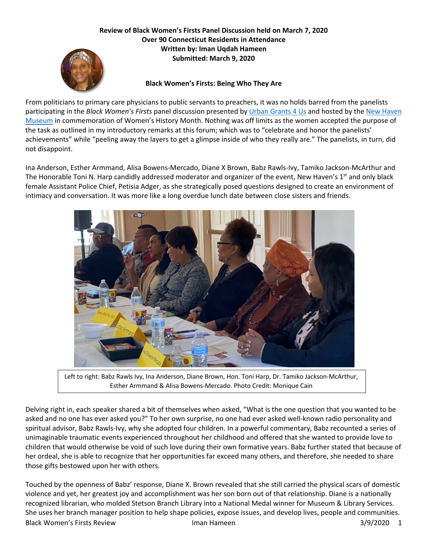## **Review of Black Women's Firsts Panel Discussion held on March 7, 2020 Over 90 Connecticut Residents in Attendance Written by: Iman Uqdah Hameen Submitted: March 9, 2020**



## **Black Women's Firsts: Being Who They Are**

From politicians to primary care physicians to public servants to preachers, it was no holds barred from the panelists participating in the *Black Women's Firsts* panel discussion presented by Urban Grants 4 Us and hosted by the New Haven Museum in commemoration of Women's History Month. Nothing was off limits as the women accepted the purpose of the task as outlined in my introductory remarks at this forum; which was to "celebrate and honor the panelists' achievements" while "peeling away the layers to get a glimpse inside of who they really are." The panelists, in turn, did not disappoint.

Ina Anderson, Esther Armmand, Alisa Bowens-Mercado, Diane X Brown, Babz Rawls-Ivy, Tamiko Jackson-McArthur and The Honorable Toni N. Harp candidly addressed moderator and organizer of the event, New Haven's 1<sup>st</sup> and only black female Assistant Police Chief, Petisia Adger, as she strategically posed questions designed to create an environment of intimacy and conversation. It was more like a long overdue lunch date between close sisters and friends.



Left to right: Babz Rawls Ivy, Ina Anderson, Diane Brown, Hon. Toni Harp, Dr. Tamiko Jackson-McArthur, Esther Armmand & Alisa Bowens-Mercado. Photo Credit: Monique Cain

Delving right in, each speaker shared a bit of themselves when asked, "What is the one question that you wanted to be asked and no one has ever asked you?" To her own surprise, no one had ever asked well-known radio personality and spiritual advisor, Babz Rawls-Ivy, why she adopted four children. In a powerful commentary, Babz recounted a series of unimaginable traumatic events experienced throughout her childhood and offered that she wanted to provide love to children that would otherwise be void of such love during their own formative years. Babz further stated that because of her ordeal, she is able to recognize that her opportunities far exceed many others, and therefore, she needed to share those gifts bestowed upon her with others.

Black Women's Firsts Review **Iman Hameen** 1.1 Iman Hameen 3/9/2020 1 Touched by the openness of Babz' response, Diane X. Brown revealed that she still carried the physical scars of domestic violence and yet, her greatest joy and accomplishment was her son born out of that relationship. Diane is a nationally recognized librarian, who molded Stetson Branch Library into a National Medal winner for Museum & Library Services. She uses her branch manager position to help shape policies, expose issues, and develop lives, people and communities.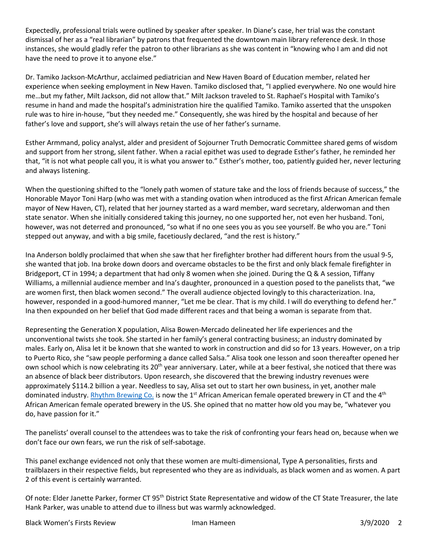Expectedly, professional trials were outlined by speaker after speaker. In Diane's case, her trial was the constant dismissal of her as a "real librarian" by patrons that frequented the downtown main library reference desk. In those instances, she would gladly refer the patron to other librarians as she was content in "knowing who I am and did not have the need to prove it to anyone else."

Dr. Tamiko Jackson-McArthur, acclaimed pediatrician and New Haven Board of Education member, related her experience when seeking employment in New Haven. Tamiko disclosed that, "I applied everywhere. No one would hire me…but my father, Milt Jackson, did not allow that." Milt Jackson traveled to St. Raphael's Hospital with Tamiko's resume in hand and made the hospital's administration hire the qualified Tamiko. Tamiko asserted that the unspoken rule was to hire in-house, "but they needed me." Consequently, she was hired by the hospital and because of her father's love and support, she's will always retain the use of her father's surname.

Esther Armmand, policy analyst, alder and president of Sojourner Truth Democratic Committee shared gems of wisdom and support from her strong, silent father. When a racial epithet was used to degrade Esther's father, he reminded her that, "it is not what people call you, it is what you answer to." Esther's mother, too, patiently guided her, never lecturing and always listening.

When the questioning shifted to the "lonely path women of stature take and the loss of friends because of success," the Honorable Mayor Toni Harp (who was met with a standing ovation when introduced as the first African American female mayor of New Haven, CT), related that her journey started as a ward member, ward secretary, alderwoman and then state senator. When she initially considered taking this journey, no one supported her, not even her husband. Toni, however, was not deterred and pronounced, "so what if no one sees you as you see yourself. Be who you are." Toni stepped out anyway, and with a big smile, facetiously declared, "and the rest is history."

Ina Anderson boldly proclaimed that when she saw that her firefighter brother had different hours from the usual 9-5, she wanted that job. Ina broke down doors and overcame obstacles to be the first and only black female firefighter in Bridgeport, CT in 1994; a department that had only 8 women when she joined. During the Q & A session, Tiffany Williams, a millennial audience member and Ina's daughter, pronounced in a question posed to the panelists that, "we are women first, then black women second." The overall audience objected lovingly to this characterization. Ina, however, responded in a good-humored manner, "Let me be clear. That is my child. I will do everything to defend her." Ina then expounded on her belief that God made different races and that being a woman is separate from that.

Representing the Generation X population, Alisa Bowen-Mercado delineated her life experiences and the unconventional twists she took. She started in her family's general contracting business; an industry dominated by males. Early on, Alisa let it be known that she wanted to work in construction and did so for 13 years. However, on a trip to Puerto Rico, she "saw people performing a dance called Salsa." Alisa took one lesson and soon thereafter opened her own school which is now celebrating its 20<sup>th</sup> year anniversary. Later, while at a beer festival, she noticed that there was an absence of black beer distributors. Upon research, she discovered that the brewing industry revenues were approximately \$114.2 billion a year. Needless to say, Alisa set out to start her own business, in yet, another male dominated industry. Rhythm Brewing Co. is now the 1<sup>st</sup> African American female operated brewery in CT and the 4<sup>th</sup> African American female operated brewery in the US. She opined that no matter how old you may be, "whatever you do, have passion for it."

The panelists' overall counsel to the attendees was to take the risk of confronting your fears head on, because when we don't face our own fears, we run the risk of self-sabotage.

This panel exchange evidenced not only that these women are multi-dimensional, Type A personalities, firsts and trailblazers in their respective fields, but represented who they are as individuals, as black women and as women. A part 2 of this event is certainly warranted.

Of note: Elder Janette Parker, former CT 95<sup>th</sup> District State Representative and widow of the CT State Treasurer, the late Hank Parker, was unable to attend due to illness but was warmly acknowledged.